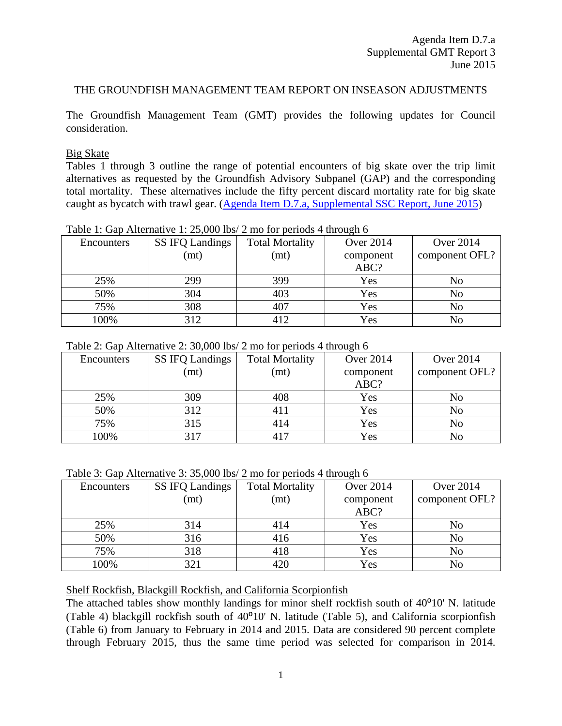## THE GROUNDFISH MANAGEMENT TEAM REPORT ON INSEASON ADJUSTMENTS

The Groundfish Management Team (GMT) provides the following updates for Council consideration.

## Big Skate

Tables 1 through 3 outline the range of potential encounters of big skate over the trip limit alternatives as requested by the Groundfish Advisory Subpanel (GAP) and the corresponding total mortality. These alternatives include the fifty percent discard mortality rate for big skate caught as bycatch with trawl gear. [\(Agenda Item D.7.a, Supplemental SSC Report, June 2015\)](http://www.pcouncil.org/wp-content/uploads/2015/05/D7a_Sup_SSC_Rpt_JUN2015BB.pdf)

| Encounters | <b>SS IFQ Landings</b> | <b>Total Mortality</b> | <b>Over 2014</b> | <b>Over 2014</b> |
|------------|------------------------|------------------------|------------------|------------------|
|            | (mt)                   | (mt)                   | component        | component OFL?   |
|            |                        |                        | ABC?             |                  |
| 25%        | 299                    | 399                    | Yes              | No               |
| 50%        | 304                    | 403                    | Yes              | No               |
| 75%        | 308                    | 407                    | Yes              | No               |
| 100%       | 312                    | 412                    | Yes              |                  |

Table 1: Gap Alternative 1: 25,000 lbs/ 2 mo for periods 4 through 6

| Table 2: Gap Alternative 2: 30,000 lbs/ 2 mo for periods 4 through 6 |
|----------------------------------------------------------------------|
|----------------------------------------------------------------------|

| Encounters | <b>SS IFQ Landings</b> | <b>Total Mortality</b> | <b>Over 2014</b> | <b>Over 2014</b> |
|------------|------------------------|------------------------|------------------|------------------|
|            | (mt)                   | (mt)                   | component        | component OFL?   |
|            |                        |                        | ABC?             |                  |
| 25%        | 309                    | 408                    | Yes              | No               |
| 50%        | 312                    |                        | Yes              | N <sub>o</sub>   |
| 75%        | 315                    | 414                    | Yes              | No               |
| 100%       | 317                    | 417                    | Yes              | No               |

Table 3: Gap Alternative 3: 35,000 lbs/ 2 mo for periods 4 through 6

| Encounters | <b>SS IFQ Landings</b> | <b>Total Mortality</b> | <b>Over 2014</b> | <b>Over 2014</b> |
|------------|------------------------|------------------------|------------------|------------------|
|            | (mt)                   | (mt)                   | component        | component OFL?   |
|            |                        |                        | ABC?             |                  |
| 25%        | 314                    | 414                    | Yes              | No               |
| 50%        | 316                    | 416                    | Yes              | N <sub>0</sub>   |
| 75%        | 318                    | 418                    | Yes              | N <sub>0</sub>   |
| 100%       | 321                    |                        | Yes              | No               |

Shelf Rockfish, Blackgill Rockfish, and California Scorpionfish

The attached tables show monthly landings for minor shelf rockfish south of  $40^{\circ}10'$  N. latitude (Table 4) blackgill rockfish south of  $40^{\circ}10'$  N. latitude (Table 5), and California scorpionfish (Table 6) from January to February in 2014 and 2015. Data are considered 90 percent complete through February 2015, thus the same time period was selected for comparison in 2014.